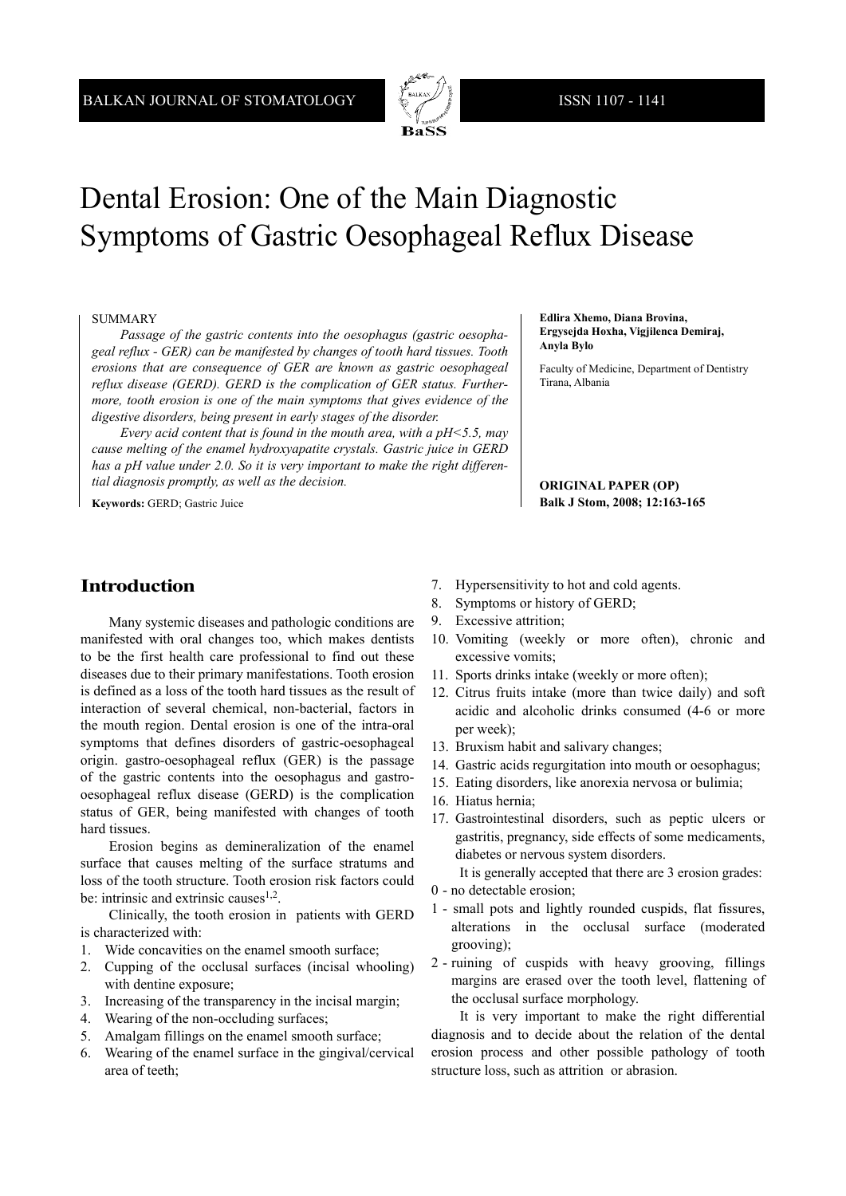

# Dental Erosion: One of the Main Diagnostic Symptoms of Gastric Oesophageal Reflux Disease

#### SUMMARY

*Passage of the gastric contents into the oesophagus (gastric oesophageal reflux - GER) can be manifested by changes of tooth hard tissues. Tooth erosions that are consequence of GER are known as gastric oesophageal reflux disease (GERD). GERD is the complication of GER status. Furthermore, tooth erosion is one of the main symptoms that gives evidence of the digestive disorders, being present in early stages of the disorder.*

*Every acid content that is found in the mouth area, with a pH<5.5, may cause melting of the enamel hydroxyapatite crystals. Gastric juice in GERD has a pH value under 2.0. So it is very important to make the right differential diagnosis promptly, as well as the decision.*

**Keywords:** GERD; Gastric Juice

#### **Edlira Xhemo, Diana Brovina, Ergysejda Hoxha, Vigjilenca Demiraj, Anyla Bylo**

Faculty of Medicine, Department of Dentistry Tirana, Albania

#### **ORIGINAL PAPER (OP) Balk J Stom, 2008; 12:163-165**

# **Introduction**

Many systemic diseases and pathologic conditions are manifested with oral changes too, which makes dentists to be the first health care professional to find out these diseases due to their primary manifestations. Tooth erosion is defined as a loss of the tooth hard tissues as the result of interaction of several chemical, non-bacterial, factors in the mouth region. Dental erosion is one of the intra-oral symptoms that defines disorders of gastric-oesophageal origin. gastro-oesophageal reflux (GER) is the passage of the gastric contents into the oesophagus and gastrooesophageal reflux disease (GERD) is the complication status of GER, being manifested with changes of tooth hard tissues.

Erosion begins as demineralization of the enamel surface that causes melting of the surface stratums and loss of the tooth structure. Tooth erosion risk factors could be: intrinsic and extrinsic causes $1,2$ .

Clinically, the tooth erosion in patients with GERD is characterized with:

- 1. Wide concavities on the enamel smooth surface;
- 2. Cupping of the occlusal surfaces (incisal whooling) with dentine exposure;
- 3. Increasing of the transparency in the incisal margin;
- 4. Wearing of the non-occluding surfaces;
- 5. Amalgam fillings on the enamel smooth surface;
- 6. Wearing of the enamel surface in the gingival/cervical area of teeth;
- 7. Hypersensitivity to hot and cold agents.
- 8. Symptoms or history of GERD;
- 9. Excessive attrition;
- 10. Vomiting (weekly or more often), chronic and excessive vomits;
- 11. Sports drinks intake (weekly or more often);
- 12. Citrus fruits intake (more than twice daily) and soft acidic and alcoholic drinks consumed (4-6 or more per week);
- 13. Bruxism habit and salivary changes;
- 14. Gastric acids regurgitation into mouth or oesophagus;
- 15. Eating disorders, like anorexia nervosa or bulimia;
- 16. Hiatus hernia;
- 17. Gastrointestinal disorders, such as peptic ulcers or gastritis, pregnancy, side effects of some medicaments, diabetes or nervous system disorders.

It is generally accepted that there are 3 erosion grades: 0 - no detectable erosion;

- 1 small pots and lightly rounded cuspids, flat fissures, alterations in the occlusal surface (moderated
- grooving); 2 - ruining of cuspids with heavy grooving, fillings margins are erased over the tooth level, flattening of the occlusal surface morphology.

It is very important to make the right differential diagnosis and to decide about the relation of the dental erosion process and other possible pathology of tooth structure loss, such as attrition or abrasion.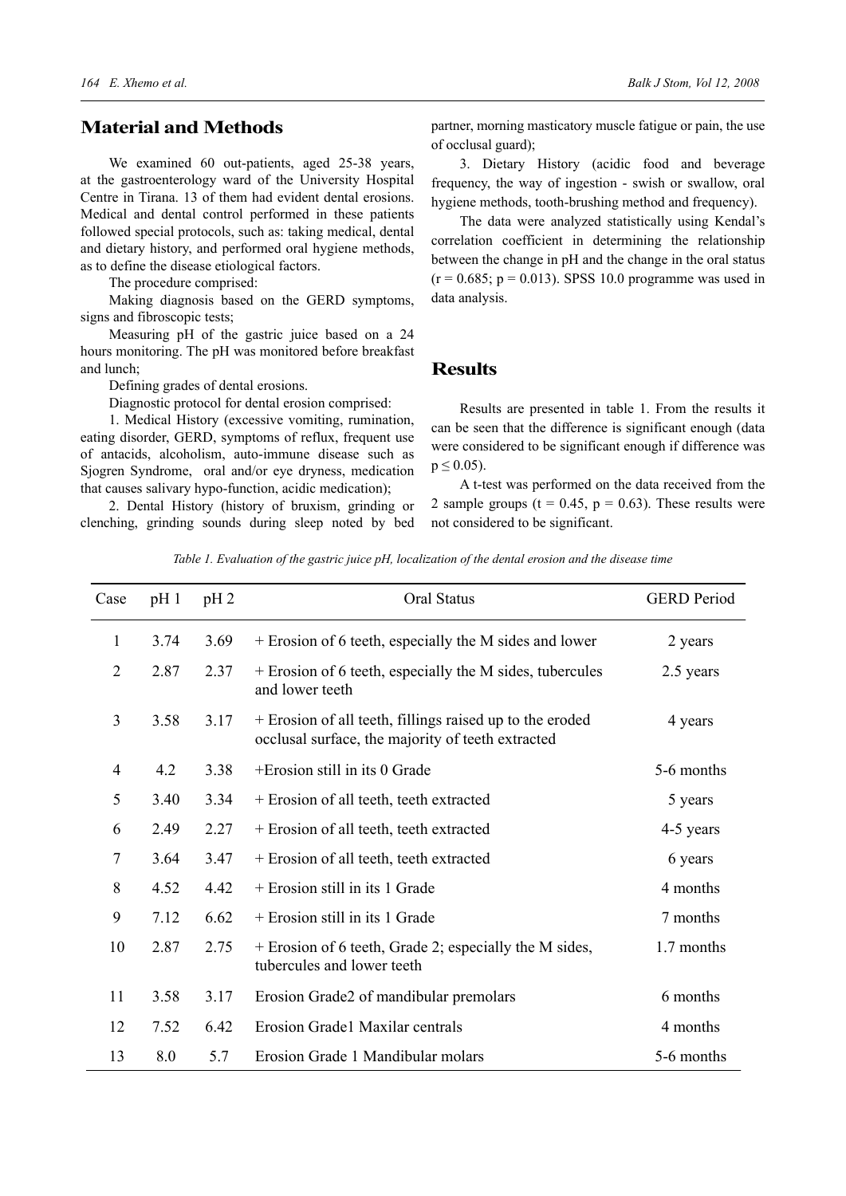## **Material and Methods**

We examined 60 out-patients, aged 25-38 years, at the gastroenterology ward of the University Hospital Centre in Tirana. 13 of them had evident dental erosions. Medical and dental control performed in these patients followed special protocols, such as: taking medical, dental and dietary history, and performed oral hygiene methods, as to define the disease etiological factors.

The procedure comprised:

Making diagnosis based on the GERD symptoms, signs and fibroscopic tests;

Measuring pH of the gastric juice based on a 24 hours monitoring. The pH was monitored before breakfast and lunch;

Defining grades of dental erosions.

Diagnostic protocol for dental erosion comprised:

1. Medical History (excessive vomiting, rumination, eating disorder, GERD, symptoms of reflux, frequent use of antacids, alcoholism, auto-immune disease such as Sjogren Syndrome, oral and/or eye dryness, medication that causes salivary hypo-function, acidic medication);

2. Dental History (history of bruxism, grinding or clenching, grinding sounds during sleep noted by bed

partner, morning masticatory muscle fatigue or pain, the use of occlusal guard);

3. Dietary History (acidic food and beverage frequency, the way of ingestion - swish or swallow, oral hygiene methods, tooth-brushing method and frequency).

The data were analyzed statistically using Kendal's correlation coefficient in determining the relationship between the change in pH and the change in the oral status  $(r = 0.685; p = 0.013)$ . SPSS 10.0 programme was used in data analysis.

#### **Results**

Results are presented in table 1. From the results it can be seen that the difference is significant enough (data were considered to be significant enough if difference was  $p \le 0.05$ ).

A t-test was performed on the data received from the 2 sample groups ( $t = 0.45$ ,  $p = 0.63$ ). These results were not considered to be significant.

*Table 1. Evaluation of the gastric juice pH, localization of the dental erosion and the disease time*

| Case           | $pH_1$ | $pH_2$ | Oral Status                                                                                                   | <b>GERD</b> Period |
|----------------|--------|--------|---------------------------------------------------------------------------------------------------------------|--------------------|
| 1              | 3.74   | 3.69   | + Erosion of 6 teeth, especially the M sides and lower                                                        | 2 years            |
| $\overline{2}$ | 2.87   | 2.37   | + Erosion of 6 teeth, especially the M sides, tubercules<br>and lower teeth                                   | 2.5 years          |
| 3              | 3.58   | 3.17   | + Erosion of all teeth, fillings raised up to the eroded<br>occlusal surface, the majority of teeth extracted | 4 years            |
| 4              | 4.2    | 3.38   | +Erosion still in its 0 Grade                                                                                 | 5-6 months         |
| 5              | 3.40   | 3.34   | + Erosion of all teeth, teeth extracted                                                                       | 5 years            |
| 6              | 2.49   | 2.27   | + Erosion of all teeth, teeth extracted                                                                       | 4-5 years          |
| 7              | 3.64   | 3.47   | + Erosion of all teeth, teeth extracted                                                                       | 6 years            |
| 8              | 4.52   | 4.42   | + Erosion still in its 1 Grade                                                                                | 4 months           |
| 9              | 7.12   | 6.62   | + Erosion still in its 1 Grade                                                                                | 7 months           |
| 10             | 2.87   | 2.75   | + Erosion of 6 teeth, Grade 2; especially the M sides,<br>tubercules and lower teeth                          | 1.7 months         |
| 11             | 3.58   | 3.17   | Erosion Grade2 of mandibular premolars                                                                        | 6 months           |
| 12             | 7.52   | 6.42   | Erosion Grade1 Maxilar centrals                                                                               | 4 months           |
| 13             | 8.0    | 5.7    | Erosion Grade 1 Mandibular molars                                                                             | 5-6 months         |